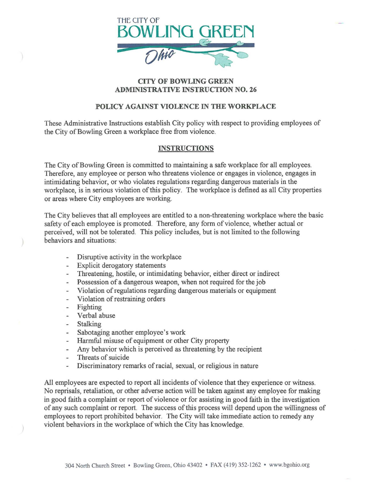

### **CITY OF BOWLING GREEN ADMINISTRATIVE INSTRUCTION NO. 26**

# **POLICY AGAINST VIOLENCE IN THE WORKPLACE**

These Administrative Instructions establish City policy with respect to providing employees of the City of Bowling Green a workplace free from violence.

# **INSTRUCTIONS**

The City of Bowling Green is committed to maintaining a safe workplace for all employees. Therefore, any employee or person who threatens violence or engages in violence, engages in intimidating behavior, or who violates regulations regarding dangerous materials in the workplace, is in serious violation of this policy. The workplace is defined as all City properties or areas where City employees are working.

The City believes that all employees are entitled to a non-threatening workplace where the basic safety of each employee is promoted. Therefore, any form of violence, whether actual or perceived, will not be tolerated. This policy includes, but is not limited to the following behaviors and situations:

- Disruptive activity in the workplace
- Explicit derogatory statements
- Threatening, hostile, or intimidating behavior, either direct or indirect
- Possession of a dangerous weapon, when not required for the job
- Violation of regulations regarding dangerous materials or equipment ω.
- Violation of restraining orders  $\bar{a}$
- Fighting
- Verbal abuse  $\sim$
- Stalking  $\sim$
- Sabotaging another employee's work
- Harmful misuse of equipment or other City property
- Any behavior which is perceived as threatening by the recipient  $\frac{1}{2}$
- Threats of suicide  $\overline{a}$
- Discriminatory remarks of racial, sexual, or religious in nature

All employees are expected to report all incidents of violence that they experience or witness. No reprisals, retaliation, or other adverse action will be taken against any employee for making in good faith a complaint or report of violence or for assisting in good faith in the investigation of any such complaint or report. The success of this process will depend upon the willingness of employees to report prohibited behavior. The City will take immediate action to remedy any violent behaviors in the workplace of which the City has knowledge.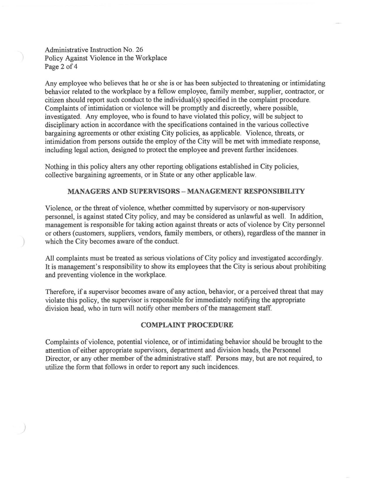Administrative Instruction No. 26 Policy Against Violence in the Workplace Page 2 of 4

)

Any employee who believes that he or she is or has been subjected to threatening or intimidating behavior related to the workplace by a fellow employee, family member, supplier, contractor, or citizen should report such conduct to the individual(s) specified in the complaint procedure. Complaints of intimidation or violence will be promptly and discreetly, where possible, investigated. Any employee, who is found to have violated this policy, will be subject to disciplinary action in accordance with the specifications contained in the various collective bargaining agreements or other existing City policies, as applicable. Violence, threats, or intimidation from persons outside the employ of the City will be met with immediate response, including legal action, designed to protect the employee and prevent further incidences.

Nothing in this policy alters any other reporting obligations established in City policies, collective bargaining agreements, or in State or any other applicable law.

### **MANAGERS AND SUPERVISORS- MANAGEMENT RESPONSffiiLITY**

Violence, or the threat of violence, whether committed by supervisory or non-supervisory personnel, is against stated City policy, and may be considered as unlawful as well. In addition, management is responsible for taking action against threats or acts of violence by City personnel or others (customers, suppliers, vendors, family members, or others), regardless ofthe manner in which the City becomes aware of the conduct.

All complaints must be treated as serious violations of City policy and investigated accordingly. It is management's responsibility to show its employees that the City is serious about prohibiting and preventing violence in the workplace.

Therefore, if a supervisor becomes aware of any action, behavior, or a perceived threat that may violate this policy, the supervisor is responsible for immediately notifying the appropriate division head, who in turn will notify other members of the management staff

#### **COMPLAINT PROCEDURE**

Complaints of violence, potential violence, or of intimidating behavior should be brought to the attention of either appropriate supervisors, department and division heads, the Personnel Director, or any other member of the administrative staff. Persons may, but are not required, to utilize the form that follows in order to report any such incidences.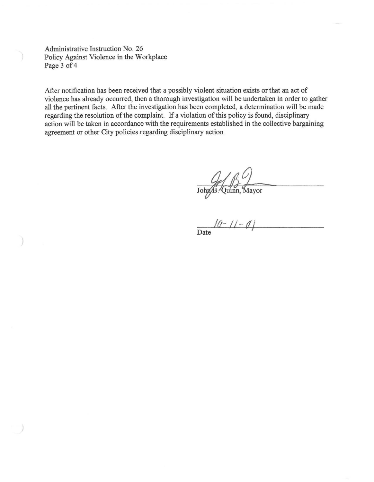Administrative Instruction No. 26 Policy Against Violence in the Workplace Page 3 of 4

After notification has been received that a possibly violent situation exists or that an act of violence has already occurred, then a thorough investigation will be undertaken in order to gather all the pertinent facts. After the investigation has been completed, a determination will be made regarding the resolution of the complaint. If a violation of this policy is found, disciplinary action will be taken in accordance with the requirements established in the collective bargaining agreement or other City policies regarding disciplinary action.

John B. Quinn, Mayor

*IU-* II- *({\_I*  Date <sup>1</sup>